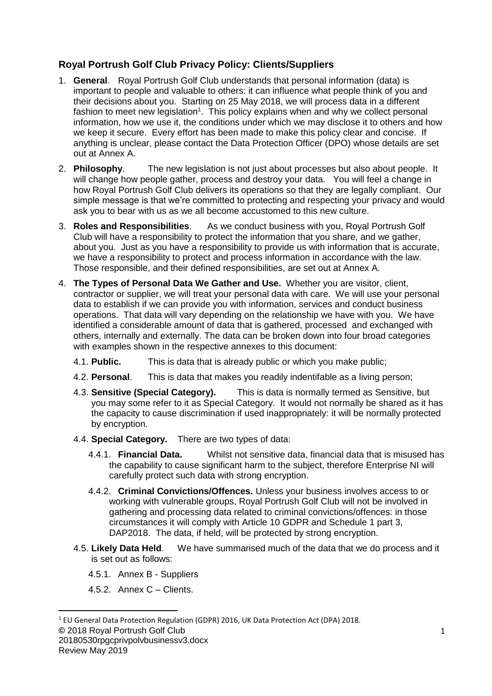## **Royal Portrush Golf Club Privacy Policy: Clients/Suppliers**

- 1. **General**. Royal Portrush Golf Club understands that personal information (data) is important to people and valuable to others: it can influence what people think of you and their decisions about you. Starting on 25 May 2018, we will process data in a different fashion to meet new legislation<sup>1</sup>. This policy explains when and why we collect personal information, how we use it, the conditions under which we may disclose it to others and how we keep it secure. Every effort has been made to make this policy clear and concise. If anything is unclear, please contact the Data Protection Officer (DPO) whose details are set out at Annex A.
- 2. **Philosophy**. The new legislation is not just about processes but also about people. It will change how people gather, process and destroy your data. You will feel a change in how Royal Portrush Golf Club delivers its operations so that they are legally compliant. Our simple message is that we're committed to protecting and respecting your privacy and would ask you to bear with us as we all become accustomed to this new culture.
- 3. **Roles and Responsibilities**. As we conduct business with you, Royal Portrush Golf Club will have a responsibility to protect the information that you share, and we gather, about you. Just as you have a responsibility to provide us with information that is accurate, we have a responsibility to protect and process information in accordance with the law. Those responsible, and their defined responsibilities, are set out at Annex A.
- 4. **The Types of Personal Data We Gather and Use.** Whether you are visitor, client, contractor or supplier, we will treat your personal data with care. We will use your personal data to establish if we can provide you with information, services and conduct business operations.That data will vary depending on the relationship we have with you. We have identified a considerable amount of data that is gathered, processed and exchanged with others, internally and externally. The data can be broken down into four broad categories with examples shown in the respective annexes to this document:
	- 4.1. **Public.** This is data that is already public or which you make public;
	- 4.2. **Personal**. This is data that makes you readily indentifable as a living person;
	- 4.3. **Sensitive (Special Category).** This is data is normally termed as Sensitive, but you may some refer to it as Special Category. It would not normally be shared as it has the capacity to cause discrimination if used inappropriately: it will be normally protected by encryption.
	- 4.4. **Special Category.** There are two types of data:
		- 4.4.1. **Financial Data.** Whilst not sensitive data, financial data that is misused has the capability to cause significant harm to the subject, therefore Enterprise NI will carefully protect such data with strong encryption.
		- 4.4.2. **Criminal Convictions/Offences.** Unless your business involves access to or working with vulnerable groups, Royal Portrush Golf Club will not be involved in gathering and processing data related to criminal convictions/offences: in those circumstances it will comply with Article 10 GDPR and Schedule 1 part 3, DAP2018. The data, if held, will be protected by strong encryption.
	- 4.5. **Likely Data Held**. We have summarised much of the data that we do process and it is set out as follows:
		- 4.5.1. Annex B Suppliers
		- 4.5.2. Annex C Clients.

20180530rpgcprivpolvbusinessv3.docx

<sup>1</sup> EU General Data Protection Regulation (GDPR) 2016, UK Data Protection Act (DPA) 2018.

**<sup>©</sup>** 2018 Royal Portrush Golf Club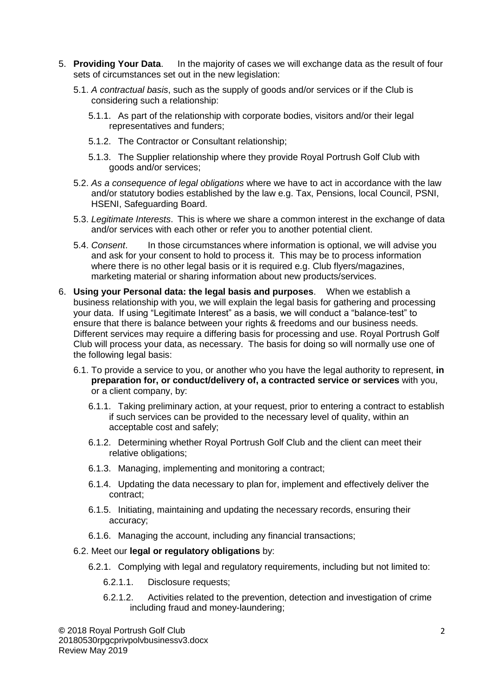- 5. **Providing Your Data**. In the majority of cases we will exchange data as the result of four sets of circumstances set out in the new legislation:
	- 5.1. *A contractual basis*, such as the supply of goods and/or services or if the Club is considering such a relationship:
		- 5.1.1. As part of the relationship with corporate bodies, visitors and/or their legal representatives and funders;
		- 5.1.2. The Contractor or Consultant relationship;
		- 5.1.3. The Supplier relationship where they provide Royal Portrush Golf Club with goods and/or services;
	- 5.2. *As a consequence of legal obligations* where we have to act in accordance with the law and/or statutory bodies established by the law e.g. Tax, Pensions, local Council, PSNI, HSENI, Safeguarding Board.
	- 5.3. *Legitimate Interests*. This is where we share a common interest in the exchange of data and/or services with each other or refer you to another potential client.
	- 5.4. *Consent*. In those circumstances where information is optional, we will advise you and ask for your consent to hold to process it. This may be to process information where there is no other legal basis or it is required e.g. Club flyers/magazines, marketing material or sharing information about new products/services.
- 6. **Using your Personal data: the legal basis and purposes**. When we establish a business relationship with you, we will explain the legal basis for gathering and processing your data. If using "Legitimate Interest" as a basis, we will conduct a "balance-test" to ensure that there is balance between your rights & freedoms and our business needs. Different services may require a differing basis for processing and use. Royal Portrush Golf Club will process your data, as necessary. The basis for doing so will normally use one of the following legal basis:
	- 6.1. To provide a service to you, or another who you have the legal authority to represent, **in preparation for, or conduct/delivery of, a contracted service or services** with you, or a client company, by:
		- 6.1.1. Taking preliminary action, at your request, prior to entering a contract to establish if such services can be provided to the necessary level of quality, within an acceptable cost and safely;
		- 6.1.2. Determining whether Royal Portrush Golf Club and the client can meet their relative obligations;
		- 6.1.3. Managing, implementing and monitoring a contract;
		- 6.1.4. Updating the data necessary to plan for, implement and effectively deliver the contract;
		- 6.1.5. Initiating, maintaining and updating the necessary records, ensuring their accuracy;
		- 6.1.6. Managing the account, including any financial transactions;

#### 6.2. Meet our **legal or regulatory obligations** by:

- 6.2.1. Complying with legal and regulatory requirements, including but not limited to:
	- 6.2.1.1. Disclosure requests;
	- 6.2.1.2. Activities related to the prevention, detection and investigation of crime including fraud and money-laundering;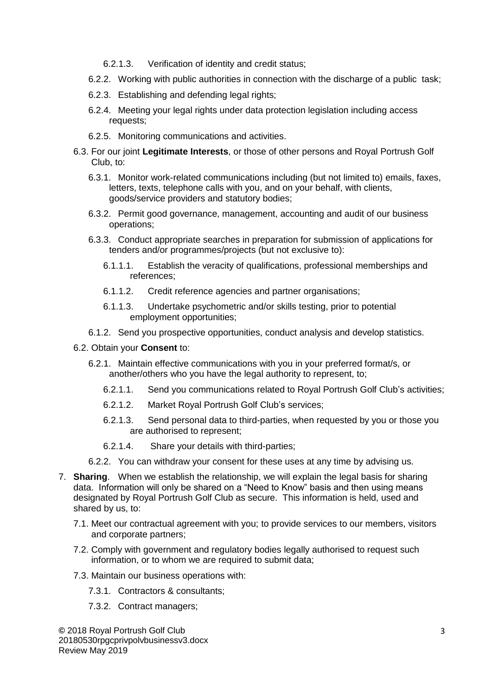- 6.2.1.3. Verification of identity and credit status;
- 6.2.2. Working with public authorities in connection with the discharge of a public task;
- 6.2.3. Establishing and defending legal rights;
- 6.2.4. Meeting your legal rights under data protection legislation including access requests;
- 6.2.5. Monitoring communications and activities.
- 6.3. For our joint **Legitimate Interests**, or those of other persons and Royal Portrush Golf Club, to:
	- 6.3.1. Monitor work-related communications including (but not limited to) emails, faxes, letters, texts, telephone calls with you, and on your behalf, with clients, goods/service providers and statutory bodies;
	- 6.3.2. Permit good governance, management, accounting and audit of our business operations;
	- 6.3.3. Conduct appropriate searches in preparation for submission of applications for tenders and/or programmes/projects (but not exclusive to):
		- 6.1.1.1. Establish the veracity of qualifications, professional memberships and references;
		- 6.1.1.2. Credit reference agencies and partner organisations;
		- 6.1.1.3. Undertake psychometric and/or skills testing, prior to potential employment opportunities;
	- 6.1.2. Send you prospective opportunities, conduct analysis and develop statistics.

#### 6.2. Obtain your **Consent** to:

- 6.2.1. Maintain effective communications with you in your preferred format/s, or another/others who you have the legal authority to represent, to;
	- 6.2.1.1. Send you communications related to Royal Portrush Golf Club's activities;
	- 6.2.1.2. Market Royal Portrush Golf Club's services;
	- 6.2.1.3. Send personal data to third-parties, when requested by you or those you are authorised to represent;
	- 6.2.1.4. Share your details with third-parties;
- 6.2.2. You can withdraw your consent for these uses at any time by advising us.
- 7. **Sharing**. When we establish the relationship, we will explain the legal basis for sharing data. Information will only be shared on a "Need to Know" basis and then using means designated by Royal Portrush Golf Club as secure. This information is held, used and shared by us, to:
	- 7.1. Meet our contractual agreement with you; to provide services to our members, visitors and corporate partners;
	- 7.2. Comply with government and regulatory bodies legally authorised to request such information, or to whom we are required to submit data;
	- 7.3. Maintain our business operations with:
		- 7.3.1. Contractors & consultants;
		- 7.3.2. Contract managers;

**©** 2018 Royal Portrush Golf Club 20180530rpgcprivpolvbusinessv3.docx Review May 2019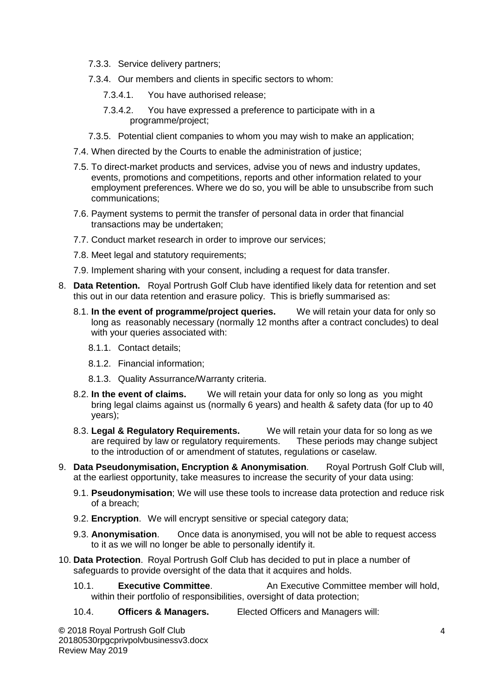- 7.3.3. Service delivery partners;
- 7.3.4. Our members and clients in specific sectors to whom:
	- 7.3.4.1. You have authorised release;
	- 7.3.4.2. You have expressed a preference to participate with in a programme/project;
- 7.3.5. Potential client companies to whom you may wish to make an application;
- 7.4. When directed by the Courts to enable the administration of justice;
- 7.5. To direct-market products and services, advise you of news and industry updates, events, promotions and competitions, reports and other information related to your employment preferences. Where we do so, you will be able to unsubscribe from such communications;
- 7.6. Payment systems to permit the transfer of personal data in order that financial transactions may be undertaken;
- 7.7. Conduct market research in order to improve our services;
- 7.8. Meet legal and statutory requirements;
- 7.9. Implement sharing with your consent, including a request for data transfer.
- 8. **Data Retention.** Royal Portrush Golf Club have identified likely data for retention and set this out in our data retention and erasure policy. This is briefly summarised as:
	- 8.1. **In the event of programme/project queries.** We will retain your data for only so long as reasonably necessary (normally 12 months after a contract concludes) to deal with your queries associated with:
		- 8.1.1. Contact details;
		- 8.1.2. Financial information;
		- 8.1.3. Quality Assurrance/Warranty criteria.
	- 8.2. **In the event of claims.** We will retain your data for only so long as you might bring legal claims against us (normally 6 years) and health & safety data (for up to 40 years);
	- 8.3. **Legal & Regulatory Requirements.** We will retain your data for so long as we are required by law or regulatory requirements. These periods may change subject to the introduction of or amendment of statutes, regulations or caselaw.
- 9. **Data Pseudonymisation, Encryption & Anonymisation**. Royal Portrush Golf Club will, at the earliest opportunity, take measures to increase the security of your data using:
	- 9.1. **Pseudonymisation**; We will use these tools to increase data protection and reduce risk of a breach;
	- 9.2. **Encryption**. We will encrypt sensitive or special category data;
	- 9.3. **Anonymisation**. Once data is anonymised, you will not be able to request access to it as we will no longer be able to personally identify it.
- 10. **Data Protection**. Royal Portrush Golf Club has decided to put in place a number of safeguards to provide oversight of the data that it acquires and holds.
	- 10.1. **Executive Committee**. An Executive Committee member will hold, within their portfolio of responsibilities, oversight of data protection;
	- 10.4. **Officers & Managers.** Elected Officers and Managers will: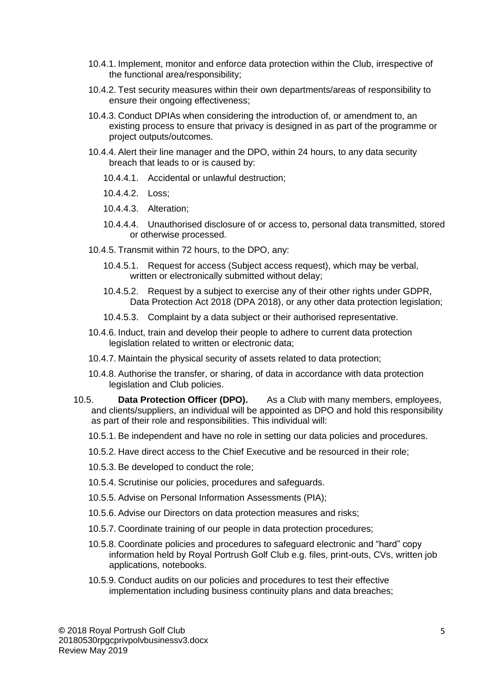- 10.4.1. Implement, monitor and enforce data protection within the Club, irrespective of the functional area/responsibility;
- 10.4.2. Test security measures within their own departments/areas of responsibility to ensure their ongoing effectiveness;
- 10.4.3. Conduct DPIAs when considering the introduction of, or amendment to, an existing process to ensure that privacy is designed in as part of the programme or project outputs/outcomes.
- 10.4.4. Alert their line manager and the DPO, within 24 hours, to any data security breach that leads to or is caused by:
	- 10.4.4.1. Accidental or unlawful destruction;
	- 10.4.4.2. Loss;
	- 10.4.4.3. Alteration;
	- 10.4.4.4. Unauthorised disclosure of or access to, personal data transmitted, stored or otherwise processed.
- 10.4.5. Transmit within 72 hours, to the DPO, any:
	- 10.4.5.1. Request for access (Subject access request), which may be verbal, written or electronically submitted without delay;
	- 10.4.5.2. Request by a subject to exercise any of their other rights under GDPR, Data Protection Act 2018 (DPA 2018), or any other data protection legislation;
	- 10.4.5.3. Complaint by a data subject or their authorised representative.
- 10.4.6. Induct, train and develop their people to adhere to current data protection legislation related to written or electronic data;
- 10.4.7. Maintain the physical security of assets related to data protection;
- 10.4.8. Authorise the transfer, or sharing, of data in accordance with data protection legislation and Club policies.
- 10.5. **Data Protection Officer (DPO).** As a Club with many members, employees, and clients/suppliers, an individual will be appointed as DPO and hold this responsibility as part of their role and responsibilities. This individual will:
	- 10.5.1. Be independent and have no role in setting our data policies and procedures.
	- 10.5.2. Have direct access to the Chief Executive and be resourced in their role;
	- 10.5.3. Be developed to conduct the role;
	- 10.5.4. Scrutinise our policies, procedures and safeguards.
	- 10.5.5. Advise on Personal Information Assessments (PIA);
	- 10.5.6. Advise our Directors on data protection measures and risks;
	- 10.5.7. Coordinate training of our people in data protection procedures;
	- 10.5.8. Coordinate policies and procedures to safeguard electronic and "hard" copy information held by Royal Portrush Golf Club e.g. files, print-outs, CVs, written job applications, notebooks.
	- 10.5.9. Conduct audits on our policies and procedures to test their effective implementation including business continuity plans and data breaches;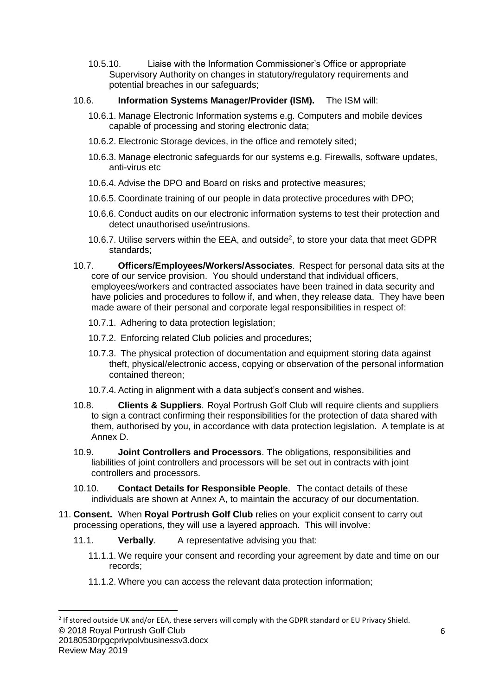10.5.10. Liaise with the Information Commissioner's Office or appropriate Supervisory Authority on changes in statutory/regulatory requirements and potential breaches in our safeguards;

### 10.6. **Information Systems Manager/Provider (ISM).** The ISM will:

- 10.6.1. Manage Electronic Information systems e.g. Computers and mobile devices capable of processing and storing electronic data;
- 10.6.2. Electronic Storage devices, in the office and remotely sited;
- 10.6.3. Manage electronic safeguards for our systems e.g. Firewalls, software updates, anti-virus etc
- 10.6.4. Advise the DPO and Board on risks and protective measures;
- 10.6.5. Coordinate training of our people in data protective procedures with DPO;
- 10.6.6. Conduct audits on our electronic information systems to test their protection and detect unauthorised use/intrusions.
- 10.6.7. Utilise servers within the EEA, and outside<sup>2</sup>, to store your data that meet GDPR standards;
- 10.7. **Officers/Employees/Workers/Associates**. Respect for personal data sits at the core of our service provision. You should understand that individual officers, employees/workers and contracted associates have been trained in data security and have policies and procedures to follow if, and when, they release data. They have been made aware of their personal and corporate legal responsibilities in respect of:
	- 10.7.1. Adhering to data protection legislation;
	- 10.7.2. Enforcing related Club policies and procedures;
	- 10.7.3. The physical protection of documentation and equipment storing data against theft, physical/electronic access, copying or observation of the personal information contained thereon;
	- 10.7.4. Acting in alignment with a data subject's consent and wishes.
- 10.8. **Clients & Suppliers**. Royal Portrush Golf Club will require clients and suppliers to sign a contract confirming their responsibilities for the protection of data shared with them, authorised by you, in accordance with data protection legislation. A template is at Annex D.
- 10.9. **Joint Controllers and Processors**. The obligations, responsibilities and liabilities of joint controllers and processors will be set out in contracts with joint controllers and processors.
- 10.10. **Contact Details for Responsible People**. The contact details of these individuals are shown at Annex A, to maintain the accuracy of our documentation.
- 11. **Consent.** When **Royal Portrush Golf Club** relies on your explicit consent to carry out processing operations, they will use a layered approach. This will involve:
	- 11.1. **Verbally**. A representative advising you that:
		- 11.1.1. We require your consent and recording your agreement by date and time on our records;
		- 11.1.2. Where you can access the relevant data protection information;

**<sup>©</sup>** 2018 Royal Portrush Golf Club  $^2$  If stored outside UK and/or EEA, these servers will comply with the GDPR standard or EU Privacy Shield.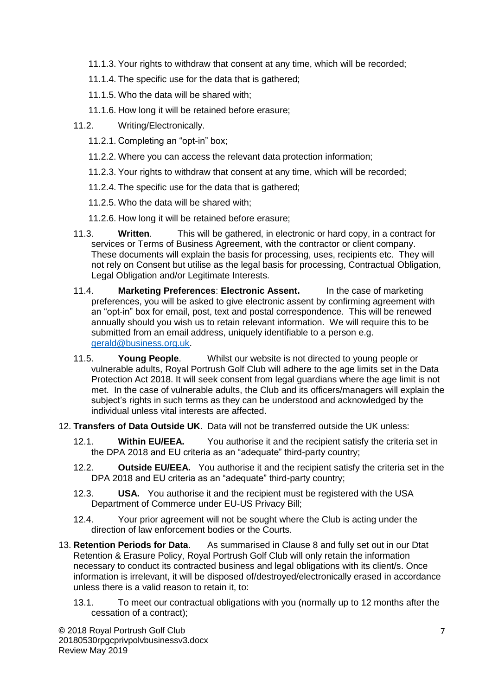- 11.1.3. Your rights to withdraw that consent at any time, which will be recorded;
- 11.1.4. The specific use for the data that is gathered;
- 11.1.5. Who the data will be shared with;
- 11.1.6. How long it will be retained before erasure;
- 11.2. Writing/Electronically.
	- 11.2.1. Completing an "opt-in" box;
	- 11.2.2. Where you can access the relevant data protection information;
	- 11.2.3. Your rights to withdraw that consent at any time, which will be recorded;
	- 11.2.4. The specific use for the data that is gathered;
	- 11.2.5. Who the data will be shared with;
	- 11.2.6. How long it will be retained before erasure;
- 11.3. **Written**. This will be gathered, in electronic or hard copy, in a contract for services or Terms of Business Agreement, with the contractor or client company. These documents will explain the basis for processing, uses, recipients etc. They will not rely on Consent but utilise as the legal basis for processing, Contractual Obligation, Legal Obligation and/or Legitimate Interests.
- 11.4. **Marketing Preferences**: **Electronic Assent.** In the case of marketing preferences, you will be asked to give electronic assent by confirming agreement with an "opt-in" box for email, post, text and postal correspondence. This will be renewed annually should you wish us to retain relevant information. We will require this to be submitted from an email address, uniquely identifiable to a person e.g. [gerald@business.org.uk.](mailto:gerald@business.org.uk)
- 11.5. **Young People**. Whilst our website is not directed to young people or vulnerable adults, Royal Portrush Golf Club will adhere to the age limits set in the Data Protection Act 2018. It will seek consent from legal guardians where the age limit is not met. In the case of vulnerable adults, the Club and its officers/managers will explain the subject's rights in such terms as they can be understood and acknowledged by the individual unless vital interests are affected.
- 12. **Transfers of Data Outside UK**. Data will not be transferred outside the UK unless:
	- 12.1. **Within EU/EEA.** You authorise it and the recipient satisfy the criteria set in the DPA 2018 and EU criteria as an "adequate" third-party country;
	- 12.2. **Outside EU/EEA.** You authorise it and the recipient satisfy the criteria set in the DPA 2018 and EU criteria as an "adequate" third-party country;
	- 12.3. **USA.** You authorise it and the recipient must be registered with the USA Department of Commerce under EU-US Privacy Bill;
	- 12.4. Your prior agreement will not be sought where the Club is acting under the direction of law enforcement bodies or the Courts.
- 13. **Retention Periods for Data**. As summarised in Clause 8 and fully set out in our Dtat Retention & Erasure Policy, Royal Portrush Golf Club will only retain the information necessary to conduct its contracted business and legal obligations with its client/s. Once information is irrelevant, it will be disposed of/destroyed/electronically erased in accordance unless there is a valid reason to retain it, to:
	- 13.1. To meet our contractual obligations with you (normally up to 12 months after the cessation of a contract);

**©** 2018 Royal Portrush Golf Club 20180530rpgcprivpolvbusinessv3.docx Review May 2019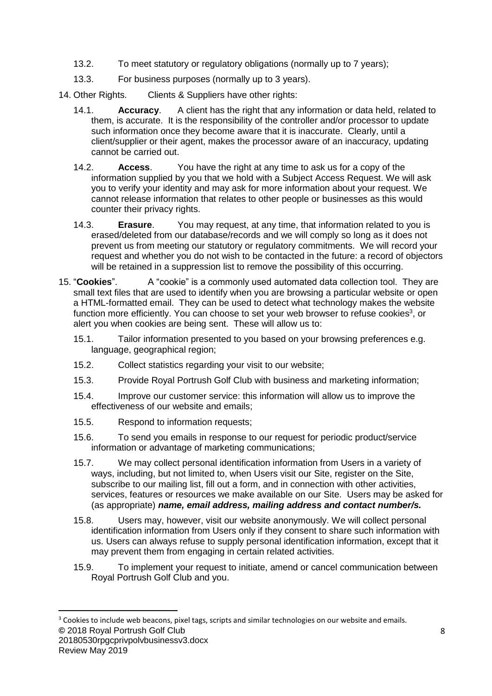- 13.2. To meet statutory or regulatory obligations (normally up to 7 years);
- 13.3. For business purposes (normally up to 3 years).
- 14. Other Rights. Clients & Suppliers have other rights:
	- 14.1. **Accuracy**. A client has the right that any information or data held, related to them, is accurate. It is the responsibility of the controller and/or processor to update such information once they become aware that it is inaccurate. Clearly, until a client/supplier or their agent, makes the processor aware of an inaccuracy, updating cannot be carried out.
	- 14.2. **Access**. You have the right at any time to ask us for a copy of the information supplied by you that we hold with a Subject Access Request. We will ask you to verify your identity and may ask for more information about your request. We cannot release information that relates to other people or businesses as this would counter their privacy rights.
	- 14.3. **Erasure**. You may request, at any time, that information related to you is erased/deleted from our database/records and we will comply so long as it does not prevent us from meeting our statutory or regulatory commitments. We will record your request and whether you do not wish to be contacted in the future: a record of objectors will be retained in a suppression list to remove the possibility of this occurring.
- 15. "**Cookies**". A "cookie" is a commonly used automated data collection tool. They are small text files that are used to identify when you are browsing a particular website or open a HTML-formatted email. They can be used to detect what technology makes the website function more efficiently. You can choose to set your web browser to refuse cookies<sup>3</sup>, or alert you when cookies are being sent. These will allow us to:
	- 15.1. Tailor information presented to you based on your browsing preferences e.g. language, geographical region;
	- 15.2. Collect statistics regarding your visit to our website;
	- 15.3. Provide Royal Portrush Golf Club with business and marketing information;
	- 15.4. Improve our customer service: this information will allow us to improve the effectiveness of our website and emails;
	- 15.5. Respond to information requests;
	- 15.6. To send you emails in response to our request for periodic product/service information or advantage of marketing communications;
	- 15.7. We may collect personal identification information from Users in a variety of ways, including, but not limited to, when Users visit our Site, register on the Site, subscribe to our mailing list, fill out a form, and in connection with other activities, services, features or resources we make available on our Site. Users may be asked for (as appropriate) *name, email address, mailing address and contact number/s.*
	- 15.8. Users may, however, visit our website anonymously. We will collect personal identification information from Users only if they consent to share such information with us. Users can always refuse to supply personal identification information, except that it may prevent them from engaging in certain related activities.
	- 15.9. To implement your request to initiate, amend or cancel communication between Royal Portrush Golf Club and you.

**<sup>©</sup>** 2018 Royal Portrush Golf Club <sup>3</sup> Cookies to include web beacons, pixel tags, scripts and similar technologies on our website and emails.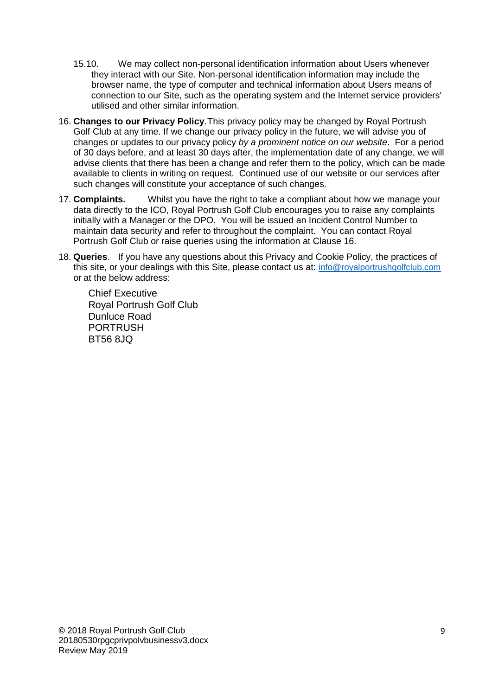- 15.10. We may collect non-personal identification information about Users whenever they interact with our Site. Non-personal identification information may include the browser name, the type of computer and technical information about Users means of connection to our Site, such as the operating system and the Internet service providers' utilised and other similar information.
- 16. **Changes to our Privacy Policy**.This privacy policy may be changed by Royal Portrush Golf Club at any time. If we change our privacy policy in the future, we will advise you of changes or updates to our privacy policy *by a prominent notice on our website*. For a period of 30 days before, and at least 30 days after, the implementation date of any change, we will advise clients that there has been a change and refer them to the policy, which can be made available to clients in writing on request. Continued use of our website or our services after such changes will constitute your acceptance of such changes.
- 17. **Complaints.** Whilst you have the right to take a compliant about how we manage your data directly to the ICO, Royal Portrush Golf Club encourages you to raise any complaints initially with a Manager or the DPO. You will be issued an Incident Control Number to maintain data security and refer to throughout the complaint. You can contact Royal Portrush Golf Club or raise queries using the information at Clause 16.
- 18. **Queries**. If you have any questions about this Privacy and Cookie Policy, the practices of this site, or your dealings with this Site, please contact us at: [info@royalportrushgolfclub.com](mailto:info@royalportrushgolfclub.com) or at the below address:

Chief Executive Royal Portrush Golf Club Dunluce Road **PORTRUSH** BT56 8JQ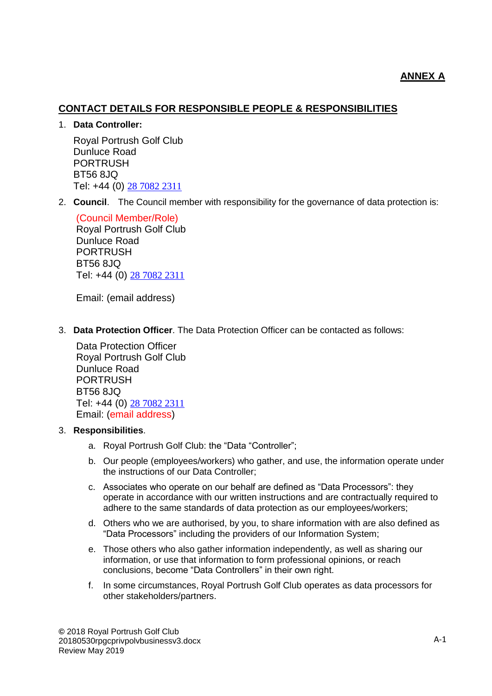# **CONTACT DETAILS FOR RESPONSIBLE PEOPLE & RESPONSIBILITIES**

### 1. **Data Controller:**

Royal Portrush Golf Club Dunluce Road PORTRUSH BT56 8JQ Tel: +44 (0) [28 7082 2311](https://www.google.com/search?q=royal+protrush+golf+club&ie=utf-8&oe=utf-8&client=firefox-b-ab)

2. **Council**. The Council member with responsibility for the governance of data protection is:

(Council Member/Role) Royal Portrush Golf Club Dunluce Road PORTRUSH BT56 8JQ Tel: +44 (0) [28 7082 2311](https://www.google.com/search?q=royal+protrush+golf+club&ie=utf-8&oe=utf-8&client=firefox-b-ab)

Email: (email address)

3. **Data Protection Officer**. The Data Protection Officer can be contacted as follows:

Data Protection Officer Royal Portrush Golf Club Dunluce Road PORTRUSH BT56 8JQ Tel: +44 (0) [28 7082 2311](https://www.google.com/search?q=royal+protrush+golf+club&ie=utf-8&oe=utf-8&client=firefox-b-ab) Email: (email address)

## 3. **Responsibilities**.

- a. Royal Portrush Golf Club: the "Data "Controller";
- b. Our people (employees/workers) who gather, and use, the information operate under the instructions of our Data Controller;
- c. Associates who operate on our behalf are defined as "Data Processors": they operate in accordance with our written instructions and are contractually required to adhere to the same standards of data protection as our employees/workers;
- d. Others who we are authorised, by you, to share information with are also defined as "Data Processors" including the providers of our Information System;
- e. Those others who also gather information independently, as well as sharing our information, or use that information to form professional opinions, or reach conclusions, become "Data Controllers" in their own right.
- f. In some circumstances, Royal Portrush Golf Club operates as data processors for other stakeholders/partners.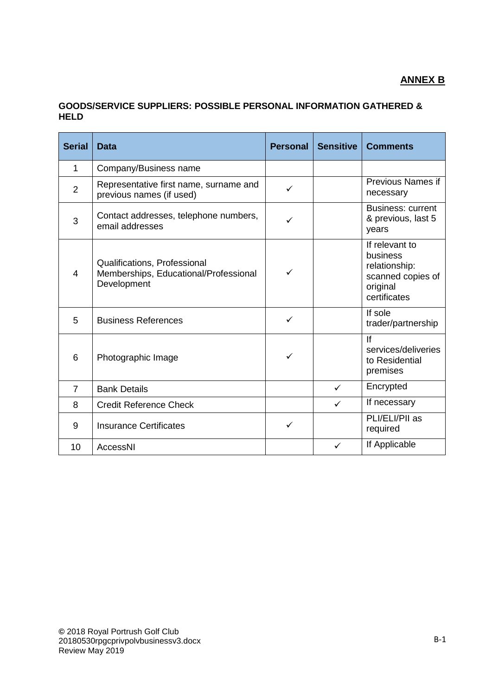# **ANNEX B**

## **GOODS/SERVICE SUPPLIERS: POSSIBLE PERSONAL INFORMATION GATHERED & HELD**

| <b>Serial</b>  | <b>Data</b>                                                                          | <b>Personal</b> | <b>Sensitive</b> | <b>Comments</b>                                                                              |
|----------------|--------------------------------------------------------------------------------------|-----------------|------------------|----------------------------------------------------------------------------------------------|
| 1              | Company/Business name                                                                |                 |                  |                                                                                              |
| $\overline{2}$ | Representative first name, surname and<br>previous names (if used)                   | $\checkmark$    |                  | Previous Names if<br>necessary                                                               |
| 3              | Contact addresses, telephone numbers,<br>email addresses                             | ✓               |                  | <b>Business: current</b><br>& previous, last 5<br>years                                      |
| $\overline{4}$ | Qualifications, Professional<br>Memberships, Educational/Professional<br>Development | ✓               |                  | If relevant to<br>business<br>relationship:<br>scanned copies of<br>original<br>certificates |
| 5              | <b>Business References</b>                                                           | $\checkmark$    |                  | If sole<br>trader/partnership                                                                |
| 6              | Photographic Image                                                                   | ✓               |                  | If<br>services/deliveries<br>to Residential<br>premises                                      |
| $\overline{7}$ | <b>Bank Details</b>                                                                  |                 | $\checkmark$     | Encrypted                                                                                    |
| 8              | <b>Credit Reference Check</b>                                                        |                 | $\checkmark$     | If necessary                                                                                 |
| 9              | <b>Insurance Certificates</b>                                                        | $\checkmark$    |                  | PLI/ELI/PII as<br>required                                                                   |
| 10             | AccessNI                                                                             |                 | $\checkmark$     | If Applicable                                                                                |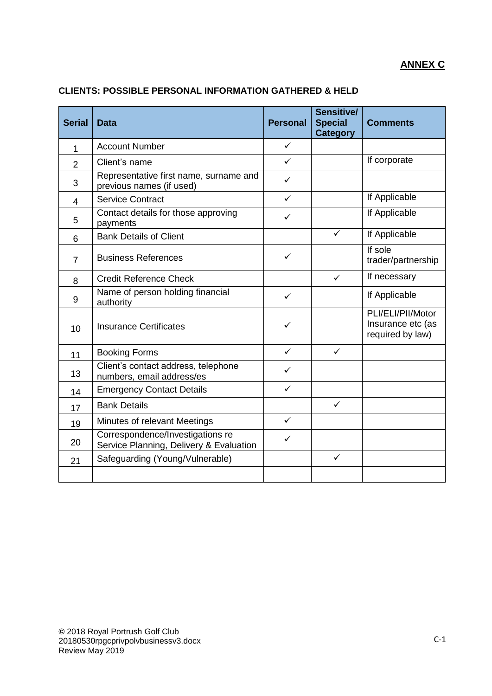| <b>Serial</b>  | <b>Data</b>                                                                 | <b>Personal</b> | Sensitive/<br><b>Special</b><br><b>Category</b> | <b>Comments</b>                                            |
|----------------|-----------------------------------------------------------------------------|-----------------|-------------------------------------------------|------------------------------------------------------------|
| 1              | <b>Account Number</b>                                                       | $\checkmark$    |                                                 |                                                            |
| $\overline{2}$ | Client's name                                                               | ✓               |                                                 | If corporate                                               |
| 3              | Representative first name, surname and<br>previous names (if used)          | ✓               |                                                 |                                                            |
| $\overline{4}$ | <b>Service Contract</b>                                                     | $\checkmark$    |                                                 | If Applicable                                              |
| 5              | Contact details for those approving<br>payments                             | $\checkmark$    |                                                 | If Applicable                                              |
| 6              | <b>Bank Details of Client</b>                                               |                 | ✓                                               | If Applicable                                              |
| $\overline{7}$ | <b>Business References</b>                                                  | $\checkmark$    |                                                 | If sole<br>trader/partnership                              |
| 8              | <b>Credit Reference Check</b>                                               |                 | $\checkmark$                                    | If necessary                                               |
| 9              | Name of person holding financial<br>authority                               | $\checkmark$    |                                                 | If Applicable                                              |
| 10             | <b>Insurance Certificates</b>                                               | ✓               |                                                 | PLI/ELI/PII/Motor<br>Insurance etc (as<br>required by law) |
| 11             | <b>Booking Forms</b>                                                        | $\checkmark$    | ✓                                               |                                                            |
| 13             | Client's contact address, telephone<br>numbers, email address/es            | ✓               |                                                 |                                                            |
| 14             | <b>Emergency Contact Details</b>                                            | ✓               |                                                 |                                                            |
| 17             | <b>Bank Details</b>                                                         |                 | ✓                                               |                                                            |
| 19             | Minutes of relevant Meetings                                                | $\checkmark$    |                                                 |                                                            |
| 20             | Correspondence/Investigations re<br>Service Planning, Delivery & Evaluation | $\checkmark$    |                                                 |                                                            |
| 21             | Safeguarding (Young/Vulnerable)                                             |                 | $\checkmark$                                    |                                                            |
|                |                                                                             |                 |                                                 |                                                            |

## **CLIENTS: POSSIBLE PERSONAL INFORMATION GATHERED & HELD**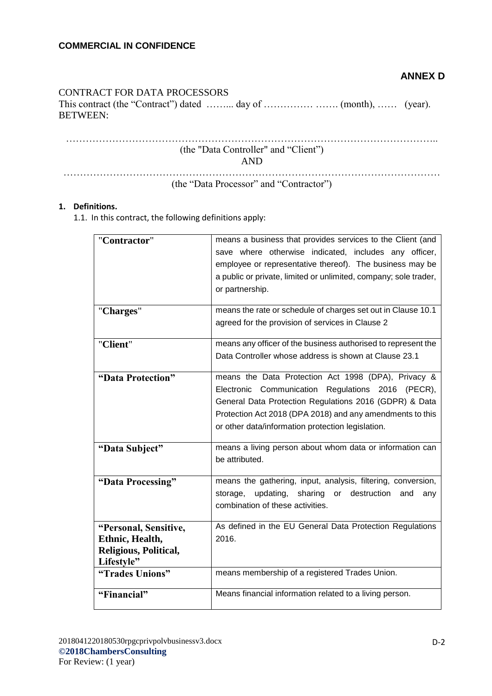## **ANNEX D**

### CONTRACT FOR DATA PROCESSORS

This contract (the "Contract") dated ……... day of …………… ……. (month), …… (year). BETWEEN:

| (the "Data Controller" and "Client") |
|--------------------------------------|
| AND                                  |
|                                      |
|                                      |

## (the "Data Processor" and "Contractor")

#### **1. Definitions.**

1.1. In this contract, the following definitions apply:

| "Contractor"          | means a business that provides services to the Client (and<br>save where otherwise indicated, includes any officer, |
|-----------------------|---------------------------------------------------------------------------------------------------------------------|
|                       | employee or representative thereof). The business may be                                                            |
|                       | a public or private, limited or unlimited, company; sole trader,                                                    |
|                       | or partnership.                                                                                                     |
|                       |                                                                                                                     |
| "Charges"             | means the rate or schedule of charges set out in Clause 10.1                                                        |
|                       | agreed for the provision of services in Clause 2                                                                    |
| "Client"              | means any officer of the business authorised to represent the                                                       |
|                       | Data Controller whose address is shown at Clause 23.1                                                               |
| "Data Protection"     | means the Data Protection Act 1998 (DPA), Privacy &                                                                 |
|                       | Electronic Communication Regulations 2016 (PECR),                                                                   |
|                       | General Data Protection Regulations 2016 (GDPR) & Data                                                              |
|                       | Protection Act 2018 (DPA 2018) and any amendments to this                                                           |
|                       | or other data/information protection legislation.                                                                   |
| "Data Subject"        | means a living person about whom data or information can                                                            |
|                       | be attributed.                                                                                                      |
| "Data Processing"     | means the gathering, input, analysis, filtering, conversion,                                                        |
|                       | updating,<br>sharing or destruction<br>storage,<br>and<br>any                                                       |
|                       | combination of these activities.                                                                                    |
|                       |                                                                                                                     |
| "Personal, Sensitive, | As defined in the EU General Data Protection Regulations                                                            |
| Ethnic, Health,       | 2016.                                                                                                               |
| Religious, Political, |                                                                                                                     |
| Lifestyle"            | means membership of a registered Trades Union.                                                                      |
| "Trades Unions"       |                                                                                                                     |
| "Financial"           | Means financial information related to a living person.                                                             |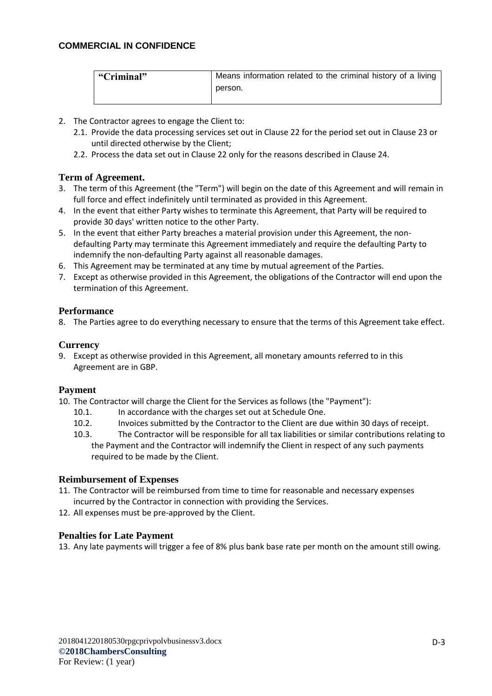| "Criminal" | Means information related to the criminal history of a living |
|------------|---------------------------------------------------------------|
|            | person.                                                       |
|            |                                                               |

- 2. The Contractor agrees to engage the Client to:
	- 2.1. Provide the data processing services set out in Clause 22 for the period set out in Clause 23 or until directed otherwise by the Client;
	- 2.2. Process the data set out in Clause 22 only for the reasons described in Clause 24.

#### **Term of Agreement.**

- 3. The term of this Agreement (the "Term") will begin on the date of this Agreement and will remain in full force and effect indefinitely until terminated as provided in this Agreement.
- 4. In the event that either Party wishes to terminate this Agreement, that Party will be required to provide 30 days' written notice to the other Party.
- 5. In the event that either Party breaches a material provision under this Agreement, the nondefaulting Party may terminate this Agreement immediately and require the defaulting Party to indemnify the non-defaulting Party against all reasonable damages.
- 6. This Agreement may be terminated at any time by mutual agreement of the Parties.
- 7. Except as otherwise provided in this Agreement, the obligations of the Contractor will end upon the termination of this Agreement.

#### **Performance**

8. The Parties agree to do everything necessary to ensure that the terms of this Agreement take effect.

### **Currency**

9. Except as otherwise provided in this Agreement, all monetary amounts referred to in this Agreement are in GBP.

#### **Payment**

- 10. The Contractor will charge the Client for the Services as follows (the "Payment"):
	- 10.1. In accordance with the charges set out at Schedule One.
	- 10.2. Invoices submitted by the Contractor to the Client are due within 30 days of receipt.
	- 10.3. The Contractor will be responsible for all tax liabilities or similar contributions relating to the Payment and the Contractor will indemnify the Client in respect of any such payments required to be made by the Client.

#### **Reimbursement of Expenses**

- 11. The Contractor will be reimbursed from time to time for reasonable and necessary expenses incurred by the Contractor in connection with providing the Services.
- 12. All expenses must be pre-approved by the Client.

#### **Penalties for Late Payment**

13. Any late payments will trigger a fee of 8% plus bank base rate per month on the amount still owing.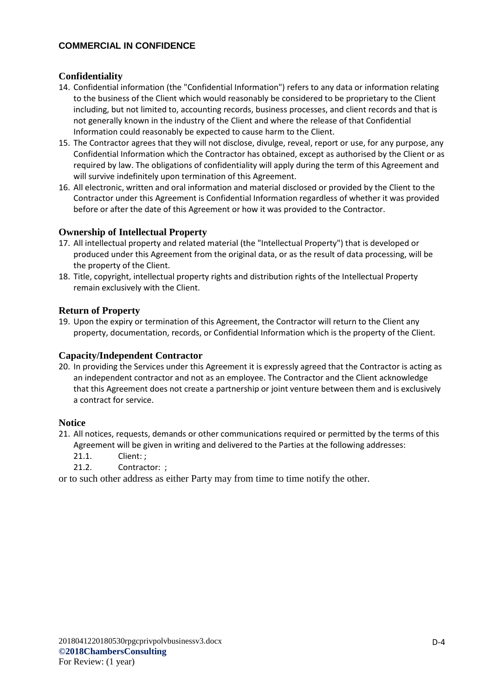### **Confidentiality**

- 14. Confidential information (the "Confidential Information") refers to any data or information relating to the business of the Client which would reasonably be considered to be proprietary to the Client including, but not limited to, accounting records, business processes, and client records and that is not generally known in the industry of the Client and where the release of that Confidential Information could reasonably be expected to cause harm to the Client.
- 15. The Contractor agrees that they will not disclose, divulge, reveal, report or use, for any purpose, any Confidential Information which the Contractor has obtained, except as authorised by the Client or as required by law. The obligations of confidentiality will apply during the term of this Agreement and will survive indefinitely upon termination of this Agreement.
- 16. All electronic, written and oral information and material disclosed or provided by the Client to the Contractor under this Agreement is Confidential Information regardless of whether it was provided before or after the date of this Agreement or how it was provided to the Contractor.

#### **Ownership of Intellectual Property**

- 17. All intellectual property and related material (the "Intellectual Property") that is developed or produced under this Agreement from the original data, or as the result of data processing, will be the property of the Client.
- 18. Title, copyright, intellectual property rights and distribution rights of the Intellectual Property remain exclusively with the Client.

#### **Return of Property**

19. Upon the expiry or termination of this Agreement, the Contractor will return to the Client any property, documentation, records, or Confidential Information which is the property of the Client.

#### **Capacity/Independent Contractor**

20. In providing the Services under this Agreement it is expressly agreed that the Contractor is acting as an independent contractor and not as an employee. The Contractor and the Client acknowledge that this Agreement does not create a partnership or joint venture between them and is exclusively a contract for service.

#### **Notice**

- 21. All notices, requests, demands or other communications required or permitted by the terms of this Agreement will be given in writing and delivered to the Parties at the following addresses:
	- 21.1. Client: ;
	- 21.2. Contractor: ;

or to such other address as either Party may from time to time notify the other.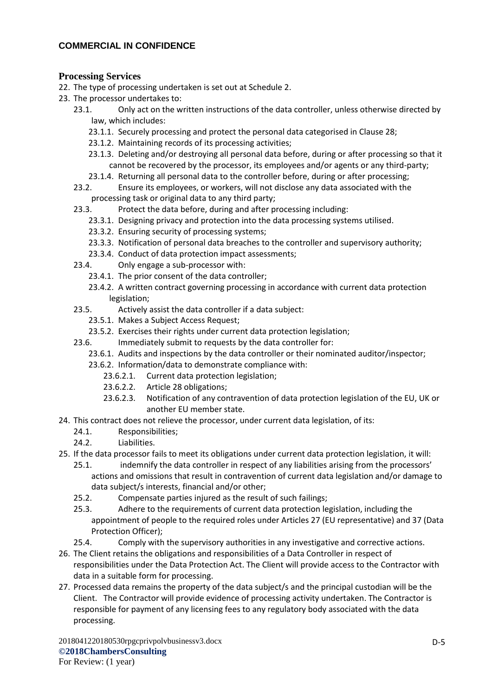### **Processing Services**

- 22. The type of processing undertaken is set out at Schedule 2.
- 23. The processor undertakes to:
	- 23.1. Only act on the written instructions of the data controller, unless otherwise directed by law, which includes:
		- 23.1.1. Securely processing and protect the personal data categorised in Clause 28;
		- 23.1.2. Maintaining records of its processing activities;
		- 23.1.3. Deleting and/or destroying all personal data before, during or after processing so that it cannot be recovered by the processor, its employees and/or agents or any third-party;
		- 23.1.4. Returning all personal data to the controller before, during or after processing;
	- 23.2. Ensure its employees, or workers, will not disclose any data associated with the processing task or original data to any third party;
	- 23.3. Protect the data before, during and after processing including:
		- 23.3.1. Designing privacy and protection into the data processing systems utilised.
		- 23.3.2. Ensuring security of processing systems;
		- 23.3.3. Notification of personal data breaches to the controller and supervisory authority;
		- 23.3.4. Conduct of data protection impact assessments;
	- 23.4. Only engage a sub-processor with:
		- 23.4.1. The prior consent of the data controller;
		- 23.4.2. A written contract governing processing in accordance with current data protection legislation;
	- 23.5. Actively assist the data controller if a data subject:
		- 23.5.1. Makes a Subject Access Request;
		- 23.5.2. Exercises their rights under current data protection legislation;
	- 23.6. Immediately submit to requests by the data controller for:
		- 23.6.1. Audits and inspections by the data controller or their nominated auditor/inspector;
		- 23.6.2. Information/data to demonstrate compliance with:
			- 23.6.2.1. Current data protection legislation;
			- 23.6.2.2. Article 28 obligations;
			- 23.6.2.3. Notification of any contravention of data protection legislation of the EU, UK or another EU member state.
- 24. This contract does not relieve the processor, under current data legislation, of its:
	- 24.1. Responsibilities;
	- 24.2. Liabilities.
- 25. If the data processor fails to meet its obligations under current data protection legislation, it will:
	- 25.1. indemnify the data controller in respect of any liabilities arising from the processors' actions and omissions that result in contravention of current data legislation and/or damage to data subject/s interests, financial and/or other;
	- 25.2. Compensate parties injured as the result of such failings;
	- 25.3. Adhere to the requirements of current data protection legislation, including the appointment of people to the required roles under Articles 27 (EU representative) and 37 (Data Protection Officer);
	- 25.4. Comply with the supervisory authorities in any investigative and corrective actions.
- 26. The Client retains the obligations and responsibilities of a Data Controller in respect of responsibilities under the Data Protection Act. The Client will provide access to the Contractor with data in a suitable form for processing.
- 27. Processed data remains the property of the data subject/s and the principal custodian will be the Client. The Contractor will provide evidence of processing activity undertaken. The Contractor is responsible for payment of any licensing fees to any regulatory body associated with the data processing.

2018041220180530rpgcprivpolvbusinessv3.docx **©2018ChambersConsulting** For Review: (1 year)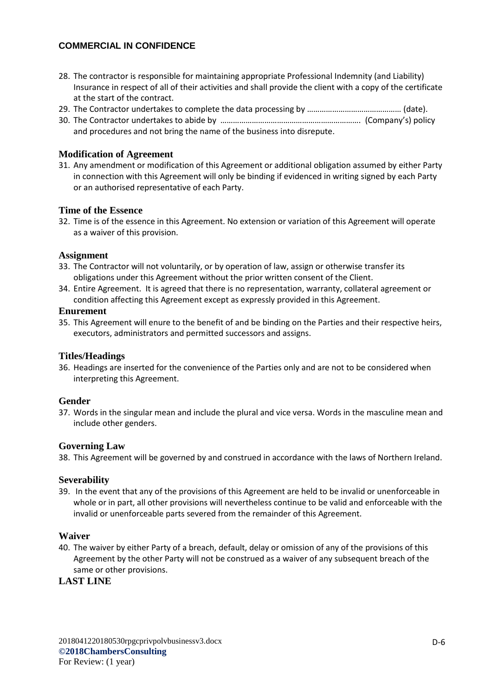- 28. The contractor is responsible for maintaining appropriate Professional Indemnity (and Liability) Insurance in respect of all of their activities and shall provide the client with a copy of the certificate at the start of the contract.
- 29. The Contractor undertakes to complete the data processing by …………………………………………… (date).
- 30. The Contractor undertakes to abide by …………………………………………………………. (Company's) policy and procedures and not bring the name of the business into disrepute.

### **Modification of Agreement**

31. Any amendment or modification of this Agreement or additional obligation assumed by either Party in connection with this Agreement will only be binding if evidenced in writing signed by each Party or an authorised representative of each Party.

#### **Time of the Essence**

32. Time is of the essence in this Agreement. No extension or variation of this Agreement will operate as a waiver of this provision.

#### **Assignment**

- 33. The Contractor will not voluntarily, or by operation of law, assign or otherwise transfer its obligations under this Agreement without the prior written consent of the Client.
- 34. Entire Agreement. It is agreed that there is no representation, warranty, collateral agreement or condition affecting this Agreement except as expressly provided in this Agreement.

#### **Enurement**

35. This Agreement will enure to the benefit of and be binding on the Parties and their respective heirs, executors, administrators and permitted successors and assigns.

#### **Titles/Headings**

36. Headings are inserted for the convenience of the Parties only and are not to be considered when interpreting this Agreement.

#### **Gender**

37. Words in the singular mean and include the plural and vice versa. Words in the masculine mean and include other genders.

#### **Governing Law**

38. This Agreement will be governed by and construed in accordance with the laws of Northern Ireland.

#### **Severability**

39. In the event that any of the provisions of this Agreement are held to be invalid or unenforceable in whole or in part, all other provisions will nevertheless continue to be valid and enforceable with the invalid or unenforceable parts severed from the remainder of this Agreement.

#### **Waiver**

40. The waiver by either Party of a breach, default, delay or omission of any of the provisions of this Agreement by the other Party will not be construed as a waiver of any subsequent breach of the same or other provisions.

#### **LAST LINE**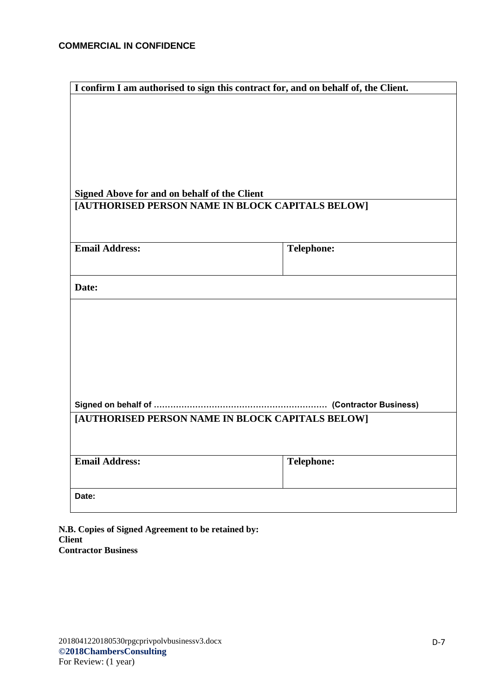| I confirm I am authorised to sign this contract for, and on behalf of, the Client. |                   |  |  |  |  |  |
|------------------------------------------------------------------------------------|-------------------|--|--|--|--|--|
|                                                                                    |                   |  |  |  |  |  |
|                                                                                    |                   |  |  |  |  |  |
|                                                                                    |                   |  |  |  |  |  |
|                                                                                    |                   |  |  |  |  |  |
|                                                                                    |                   |  |  |  |  |  |
|                                                                                    |                   |  |  |  |  |  |
|                                                                                    |                   |  |  |  |  |  |
| Signed Above for and on behalf of the Client                                       |                   |  |  |  |  |  |
| [AUTHORISED PERSON NAME IN BLOCK CAPITALS BELOW]                                   |                   |  |  |  |  |  |
|                                                                                    |                   |  |  |  |  |  |
|                                                                                    |                   |  |  |  |  |  |
| <b>Email Address:</b>                                                              | <b>Telephone:</b> |  |  |  |  |  |
|                                                                                    |                   |  |  |  |  |  |
|                                                                                    |                   |  |  |  |  |  |
| Date:                                                                              |                   |  |  |  |  |  |
|                                                                                    |                   |  |  |  |  |  |
|                                                                                    |                   |  |  |  |  |  |
|                                                                                    |                   |  |  |  |  |  |
|                                                                                    |                   |  |  |  |  |  |
|                                                                                    |                   |  |  |  |  |  |
|                                                                                    |                   |  |  |  |  |  |
|                                                                                    |                   |  |  |  |  |  |
|                                                                                    |                   |  |  |  |  |  |
|                                                                                    |                   |  |  |  |  |  |
| [AUTHORISED PERSON NAME IN BLOCK CAPITALS BELOW]                                   |                   |  |  |  |  |  |
|                                                                                    |                   |  |  |  |  |  |
|                                                                                    |                   |  |  |  |  |  |
| <b>Email Address:</b>                                                              | <b>Telephone:</b> |  |  |  |  |  |
|                                                                                    |                   |  |  |  |  |  |
| Date:                                                                              |                   |  |  |  |  |  |
|                                                                                    |                   |  |  |  |  |  |

**N.B. Copies of Signed Agreement to be retained by: Client Contractor Business**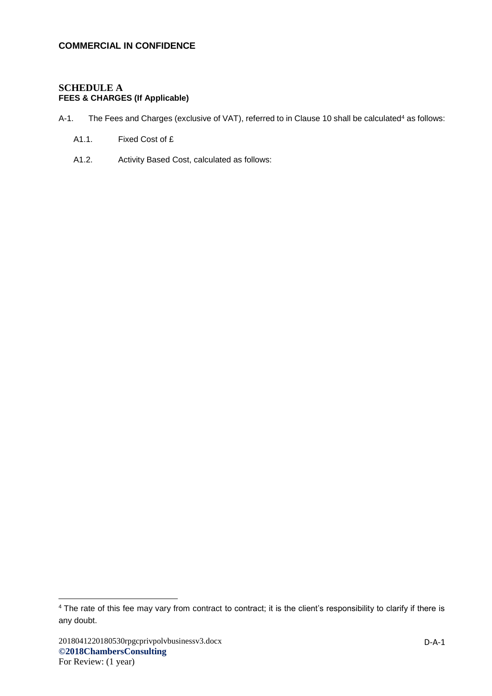### **SCHEDULE A FEES & CHARGES (If Applicable)**

- A-1. The Fees and Charges (exclusive of VAT), referred to in Clause 10 shall be calculated<sup>4</sup> as follows:
	- A1.1. Fixed Cost of £
	- A1.2. Activity Based Cost, calculated as follows:

<sup>&</sup>lt;sup>4</sup> The rate of this fee may vary from contract to contract; it is the client's responsibility to clarify if there is any doubt.